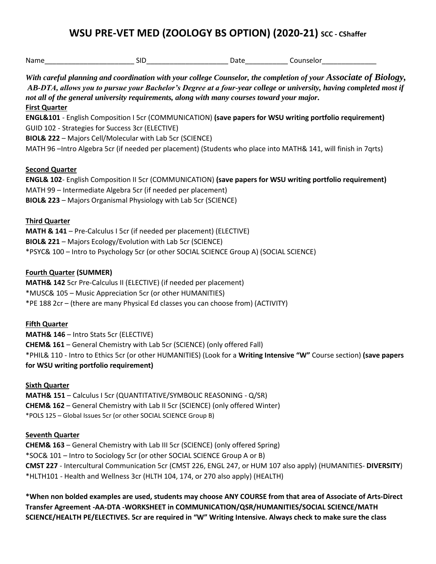# **WSU PRE-VET MED (ZOOLOGY BS OPTION) (2020-21) SCC - CShaffer**

| <b>First Quarter</b>                                                                                                | With careful planning and coordination with your college Counselor, the completion of your Associate of Biology,<br>AB-DTA, allows you to pursue your Bachelor's Degree at a four-year college or university, having completed most if<br>not all of the general university requirements, along with many courses toward your major.                                       |  |  |
|---------------------------------------------------------------------------------------------------------------------|----------------------------------------------------------------------------------------------------------------------------------------------------------------------------------------------------------------------------------------------------------------------------------------------------------------------------------------------------------------------------|--|--|
|                                                                                                                     | ENGL&101 - English Composition I 5cr (COMMUNICATION) (save papers for WSU writing portfolio requirement)<br>GUID 102 - Strategies for Success 3cr (ELECTIVE)<br><b>BIOL&amp; 222 - Majors Cell/Molecular with Lab 5cr (SCIENCE)</b>                                                                                                                                        |  |  |
|                                                                                                                     | MATH 96 - Intro Algebra 5cr (if needed per placement) (Students who place into MATH& 141, will finish in 7qrts)                                                                                                                                                                                                                                                            |  |  |
| <b>Second Quarter</b>                                                                                               | ENGL& 102- English Composition II 5cr (COMMUNICATION) (save papers for WSU writing portfolio requirement)<br>MATH 99 - Intermediate Algebra 5cr (if needed per placement)<br><b>BIOL&amp; 223</b> - Majors Organismal Physiology with Lab 5cr (SCIENCE)                                                                                                                    |  |  |
| <b>Third Quarter</b>                                                                                                | MATH & 141 - Pre-Calculus I 5cr (if needed per placement) (ELECTIVE)<br><b>BIOL&amp; 221</b> - Majors Ecology/Evolution with Lab 5cr (SCIENCE)<br>*PSYC& 100 - Intro to Psychology 5cr (or other SOCIAL SCIENCE Group A) (SOCIAL SCIENCE)                                                                                                                                  |  |  |
| <b>Fourth Quarter (SUMMER)</b>                                                                                      | MATH& 142 5cr Pre-Calculus II (ELECTIVE) (if needed per placement)<br>*MUSC& 105 - Music Appreciation 5cr (or other HUMANITIES)<br>*PE 188 2cr - (there are many Physical Ed classes you can choose from) (ACTIVITY)                                                                                                                                                       |  |  |
| <b>Fifth Quarter</b><br><b>MATH&amp; 146 - Intro Stats 5cr (ELECTIVE)</b><br>for WSU writing portfolio requirement) | <b>CHEM&amp; 161</b> - General Chemistry with Lab 5cr (SCIENCE) (only offered Fall)<br>*PHIL& 110 - Intro to Ethics 5cr (or other HUMANITIES) (Look for a Writing Intensive "W" Course section) (save papers                                                                                                                                                               |  |  |
| <b>Sixth Quarter</b>                                                                                                | MATH& 151 - Calculus I 5cr (QUANTITATIVE/SYMBOLIC REASONING - Q/SR)<br><b>CHEM&amp; 162</b> - General Chemistry with Lab II 5cr (SCIENCE) (only offered Winter)<br>*POLS 125 - Global Issues 5cr (or other SOCIAL SCIENCE Group B)                                                                                                                                         |  |  |
| <b>Seventh Quarter</b>                                                                                              | <b>CHEM&amp; 163</b> - General Chemistry with Lab III 5cr (SCIENCE) (only offered Spring)<br>*SOC& 101 - Intro to Sociology 5cr (or other SOCIAL SCIENCE Group A or B)<br>CMST 227 - Intercultural Communication 5cr (CMST 226, ENGL 247, or HUM 107 also apply) (HUMANITIES- DIVERSITY)<br>*HLTH101 - Health and Wellness 3cr (HLTH 104, 174, or 270 also apply) (HEALTH) |  |  |

**\*When non bolded examples are used, students may choose ANY COURSE from that area of Associate of Arts-Direct Transfer Agreement -AA-DTA -WORKSHEET in COMMUNICATION/QSR/HUMANITIES/SOCIAL SCIENCE/MATH SCIENCE/HEALTH PE/ELECTIVES. 5cr are required in "W" Writing Intensive. Always check to make sure the class**